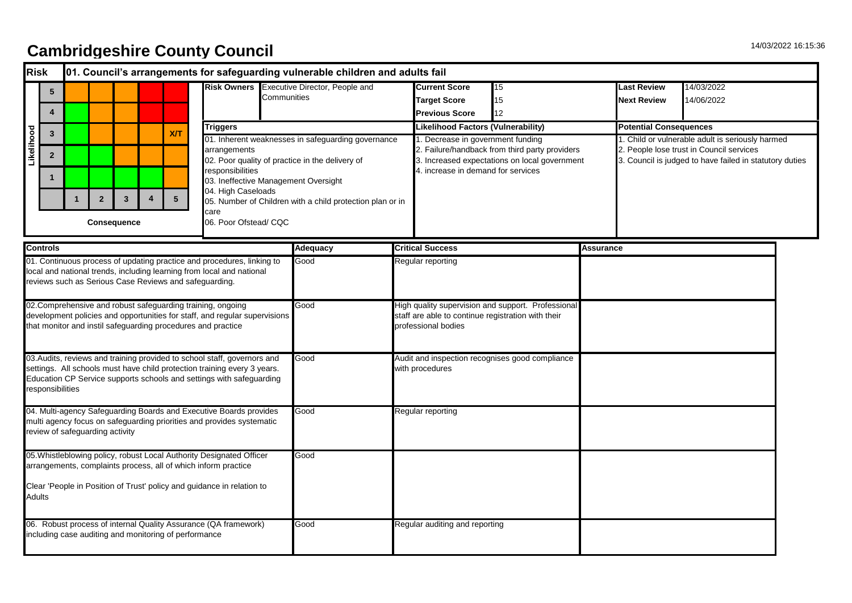## 14/03/2022 16:15:36 **Cambridgeshire County Council**

| <b>Risk</b>                                                                      |                                                                                                                                                                                                           |             |                                        |                                            |                         |                                                                      |                                                                                                                                                                                                                              |                                                                                                                                                                                                                                                           | 01. Council's arrangements for safeguarding vulnerable children and adults fail |                          |                                                                                                                                 |                                                                                                                                                                            |                  |                               |                                                                                                                                                         |  |  |
|----------------------------------------------------------------------------------|-----------------------------------------------------------------------------------------------------------------------------------------------------------------------------------------------------------|-------------|----------------------------------------|--------------------------------------------|-------------------------|----------------------------------------------------------------------|------------------------------------------------------------------------------------------------------------------------------------------------------------------------------------------------------------------------------|-----------------------------------------------------------------------------------------------------------------------------------------------------------------------------------------------------------------------------------------------------------|---------------------------------------------------------------------------------|--------------------------|---------------------------------------------------------------------------------------------------------------------------------|----------------------------------------------------------------------------------------------------------------------------------------------------------------------------|------------------|-------------------------------|---------------------------------------------------------------------------------------------------------------------------------------------------------|--|--|
|                                                                                  | $5\phantom{.0}$<br>$\overline{4}$                                                                                                                                                                         |             | Communities                            | Risk Owners Executive Director, People and |                         | <b>Current Score</b><br><b>Target Score</b><br><b>Previous Score</b> | 15<br>15<br>12                                                                                                                                                                                                               |                                                                                                                                                                                                                                                           | Last Review<br><b>Next Review</b>                                               | 14/03/2022<br>14/06/2022 |                                                                                                                                 |                                                                                                                                                                            |                  |                               |                                                                                                                                                         |  |  |
|                                                                                  |                                                                                                                                                                                                           |             |                                        |                                            |                         |                                                                      | <b>Triggers</b>                                                                                                                                                                                                              |                                                                                                                                                                                                                                                           |                                                                                 |                          | Likelihood Factors (Vulnerability)                                                                                              |                                                                                                                                                                            |                  | <b>Potential Consequences</b> |                                                                                                                                                         |  |  |
| Likelihood                                                                       | $\mathbf{3}$<br>$\mathbf{2}$                                                                                                                                                                              | $\mathbf 1$ | $\boldsymbol{2}$<br><b>Consequence</b> | $\overline{\mathbf{3}}$                    | $\overline{\mathbf{4}}$ | X/T<br>$5\phantom{.0}$                                               | arrangements<br>responsibilities<br>care                                                                                                                                                                                     | 01. Inherent weaknesses in safeguarding governance<br>02. Poor quality of practice in the delivery of<br>03. Ineffective Management Oversight<br>04. High Caseloads<br>05. Number of Children with a child protection plan or in<br>06. Poor Ofstead/ CQC |                                                                                 |                          |                                                                                                                                 | 1. Decrease in government funding<br>2. Failure/handback from third party providers<br>3. Increased expectations on local government<br>4. increase in demand for services |                  |                               | 1. Child or vulnerable adult is seriously harmed<br>2. People lose trust in Council services<br>3. Council is judged to have failed in statutory duties |  |  |
|                                                                                  | <b>Controls</b>                                                                                                                                                                                           |             |                                        |                                            |                         |                                                                      |                                                                                                                                                                                                                              |                                                                                                                                                                                                                                                           | <b>Adequacy</b>                                                                 |                          | <b>Critical Success</b>                                                                                                         |                                                                                                                                                                            | <b>Assurance</b> |                               |                                                                                                                                                         |  |  |
|                                                                                  | 01. Continuous process of updating practice and procedures, linking to<br>local and national trends, including learning from local and national<br>reviews such as Serious Case Reviews and safeguarding. |             |                                        |                                            |                         |                                                                      |                                                                                                                                                                                                                              |                                                                                                                                                                                                                                                           | Good                                                                            |                          | Regular reporting                                                                                                               |                                                                                                                                                                            |                  |                               |                                                                                                                                                         |  |  |
|                                                                                  |                                                                                                                                                                                                           |             |                                        |                                            |                         |                                                                      | 02. Comprehensive and robust safeguarding training, ongoing<br>development policies and opportunities for staff, and regular supervisions<br>that monitor and instil safeguarding procedures and practice                    |                                                                                                                                                                                                                                                           | Good                                                                            |                          | High quality supervision and support. Professional<br>staff are able to continue registration with their<br>professional bodies |                                                                                                                                                                            |                  |                               |                                                                                                                                                         |  |  |
|                                                                                  | responsibilities                                                                                                                                                                                          |             |                                        |                                            |                         |                                                                      | 03. Audits, reviews and training provided to school staff, governors and<br>settings. All schools must have child protection training every 3 years.<br>Education CP Service supports schools and settings with safeguarding |                                                                                                                                                                                                                                                           | Good                                                                            |                          | Audit and inspection recognises good compliance<br>with procedures                                                              |                                                                                                                                                                            |                  |                               |                                                                                                                                                         |  |  |
|                                                                                  |                                                                                                                                                                                                           |             | review of safeguarding activity        |                                            |                         |                                                                      | 04. Multi-agency Safeguarding Boards and Executive Boards provides<br>multi agency focus on safeguarding priorities and provides systematic                                                                                  |                                                                                                                                                                                                                                                           | Good                                                                            |                          | Regular reporting                                                                                                               |                                                                                                                                                                            |                  |                               |                                                                                                                                                         |  |  |
|                                                                                  |                                                                                                                                                                                                           |             |                                        |                                            |                         |                                                                      | 05. Whistleblowing policy, robust Local Authority Designated Officer<br>arrangements, complaints process, all of which inform practice                                                                                       |                                                                                                                                                                                                                                                           | Good                                                                            |                          |                                                                                                                                 |                                                                                                                                                                            |                  |                               |                                                                                                                                                         |  |  |
| Clear 'People in Position of Trust' policy and guidance in relation to<br>Adults |                                                                                                                                                                                                           |             |                                        |                                            |                         |                                                                      |                                                                                                                                                                                                                              |                                                                                                                                                                                                                                                           |                                                                                 |                          |                                                                                                                                 |                                                                                                                                                                            |                  |                               |                                                                                                                                                         |  |  |
|                                                                                  | 06. Robust process of internal Quality Assurance (QA framework)<br>including case auditing and monitoring of performance                                                                                  |             |                                        |                                            |                         |                                                                      |                                                                                                                                                                                                                              |                                                                                                                                                                                                                                                           | Good                                                                            |                          | Regular auditing and reporting                                                                                                  |                                                                                                                                                                            |                  |                               |                                                                                                                                                         |  |  |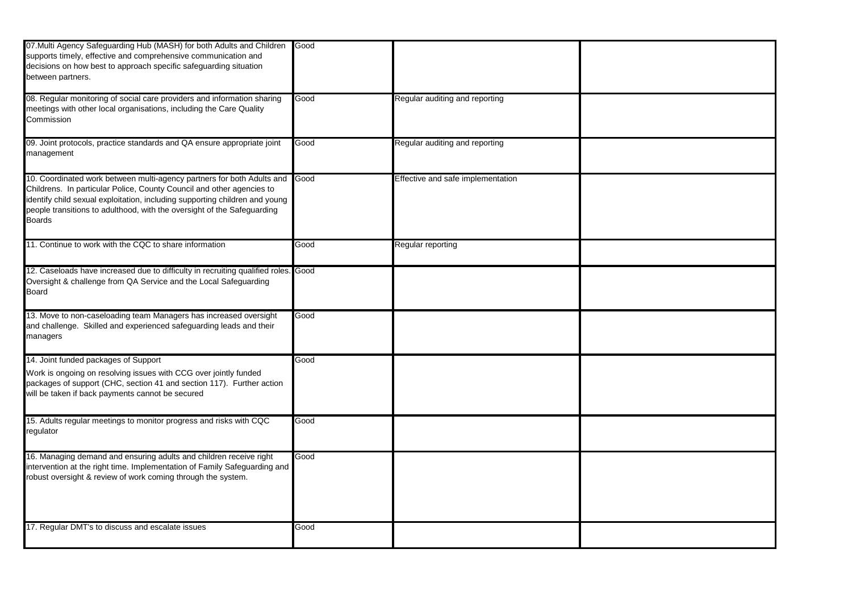| 07. Multi Agency Safeguarding Hub (MASH) for both Adults and Children<br>supports timely, effective and comprehensive communication and<br>decisions on how best to approach specific safeguarding situation<br>between partners.                                                                                          | Good |                                   |  |
|----------------------------------------------------------------------------------------------------------------------------------------------------------------------------------------------------------------------------------------------------------------------------------------------------------------------------|------|-----------------------------------|--|
| 08. Regular monitoring of social care providers and information sharing<br>meetings with other local organisations, including the Care Quality<br>Commission                                                                                                                                                               | Good | Regular auditing and reporting    |  |
| 09. Joint protocols, practice standards and QA ensure appropriate joint<br>management                                                                                                                                                                                                                                      | Good | Regular auditing and reporting    |  |
| 10. Coordinated work between multi-agency partners for both Adults and<br>Childrens. In particular Police, County Council and other agencies to<br>identify child sexual exploitation, including supporting children and young<br>people transitions to adulthood, with the oversight of the Safeguarding<br><b>Boards</b> | Good | Effective and safe implementation |  |
| 11. Continue to work with the CQC to share information                                                                                                                                                                                                                                                                     | Good | Regular reporting                 |  |
| 12. Caseloads have increased due to difficulty in recruiting qualified roles.<br>Oversight & challenge from QA Service and the Local Safeguarding<br><b>Board</b>                                                                                                                                                          | Good |                                   |  |
| 13. Move to non-caseloading team Managers has increased oversight<br>and challenge. Skilled and experienced safeguarding leads and their<br>managers                                                                                                                                                                       | Good |                                   |  |
| 14. Joint funded packages of Support<br>Work is ongoing on resolving issues with CCG over jointly funded<br>packages of support (CHC, section 41 and section 117). Further action<br>will be taken if back payments cannot be secured                                                                                      | Good |                                   |  |
| 15. Adults regular meetings to monitor progress and risks with CQC<br>regulator                                                                                                                                                                                                                                            | Good |                                   |  |
| 16. Managing demand and ensuring adults and children receive right<br>intervention at the right time. Implementation of Family Safeguarding and<br>robust oversight & review of work coming through the system.                                                                                                            | Good |                                   |  |
| 17. Regular DMT's to discuss and escalate issues                                                                                                                                                                                                                                                                           | Good |                                   |  |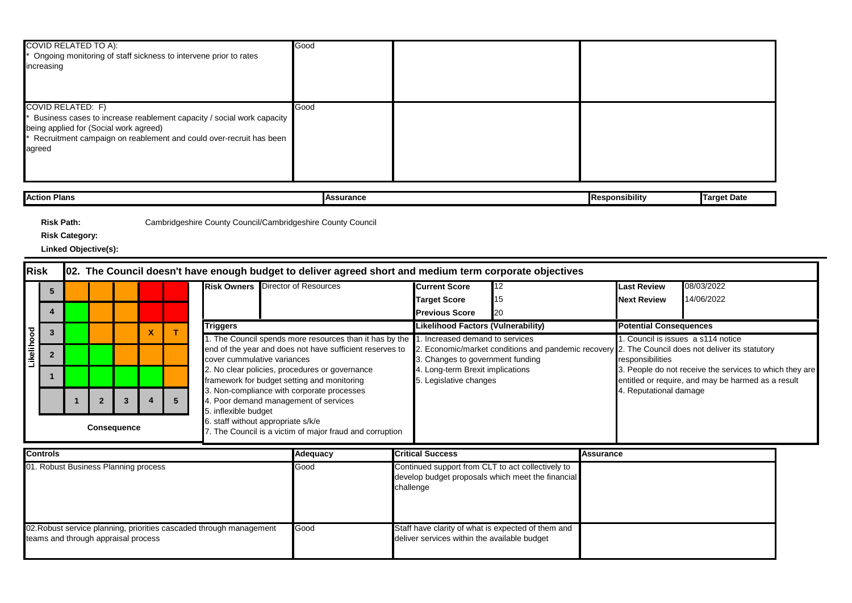| <b>COVID RELATED TO A):</b><br>* Ongoing monitoring of staff sickness to intervene prior to rates<br>increasing                                                                                                      | Good |  |
|----------------------------------------------------------------------------------------------------------------------------------------------------------------------------------------------------------------------|------|--|
| COVID RELATED: F)<br>Business cases to increase reablement capacity / social work capacity<br>being applied for (Social work agreed)<br>Recruitment campaign on reablement and could over-recruit has been<br>agreed | Good |  |

| Action Plans | ssurance<br>∍ہ⊿∎<br>-- | $-$<br><b>I</b> Responsibilit\ | raet Date |
|--------------|------------------------|--------------------------------|-----------|
|              |                        |                                |           |

**Risk Category:**

| Risk    |                                                                                         |                    |  |                                    |                                   |                               |                             | 02. The Council doesn't have enough budget to deliver agreed short and medium term corporate objectives                |                                  |     |                                                                                                                                                                                                                                        |            |  |
|---------|-----------------------------------------------------------------------------------------|--------------------|--|------------------------------------|-----------------------------------|-------------------------------|-----------------------------|------------------------------------------------------------------------------------------------------------------------|----------------------------------|-----|----------------------------------------------------------------------------------------------------------------------------------------------------------------------------------------------------------------------------------------|------------|--|
|         |                                                                                         |                    |  |                                    |                                   |                               |                             | <b>Risk Owners</b> Director of Resources                                                                               | <b>Current Score</b>             | 12  | <b>Last Review</b>                                                                                                                                                                                                                     | 08/03/2022 |  |
|         |                                                                                         |                    |  |                                    |                                   |                               |                             |                                                                                                                        | <b>Target Score</b>              | 15  | <b>Next Review</b>                                                                                                                                                                                                                     | 14/06/2022 |  |
|         |                                                                                         |                    |  |                                    |                                   |                               |                             |                                                                                                                        | <b>Previous Score</b>            | '20 |                                                                                                                                                                                                                                        |            |  |
|         |                                                                                         | <b>Triggers</b>    |  | Likelihood Factors (Vulnerability) |                                   | <b>Potential Consequences</b> |                             |                                                                                                                        |                                  |     |                                                                                                                                                                                                                                        |            |  |
|         | 1. The Council spends more resources than it has by the 1. Increased demand to services |                    |  |                                    | . Council is issues a s114 notice |                               |                             |                                                                                                                        |                                  |     |                                                                                                                                                                                                                                        |            |  |
| Likelih |                                                                                         |                    |  |                                    |                                   |                               | cover cummulative variances | end of the year and does not have sufficient reserves to                                                               | 3. Changes to government funding |     | 2. Economic/market conditions and pandemic recovery 2. The Council does not deliver its statutory<br>responsibilities<br>3. People do not receive the services to which they are<br>entitled or require, and may be harmed as a result |            |  |
|         |                                                                                         |                    |  |                                    |                                   |                               |                             | 2. No clear policies, procedures or governance                                                                         | 4. Long-term Brexit implications |     |                                                                                                                                                                                                                                        |            |  |
|         |                                                                                         |                    |  |                                    |                                   |                               |                             | framework for budget setting and monitoring                                                                            | 5. Legislative changes           |     |                                                                                                                                                                                                                                        |            |  |
|         |                                                                                         |                    |  |                                    |                                   |                               |                             | 3. Non-compliance with corporate processes                                                                             |                                  |     | 4. Reputational damage                                                                                                                                                                                                                 |            |  |
|         |                                                                                         |                    |  |                                    |                                   | 5                             |                             | 4. Poor demand management of services                                                                                  |                                  |     |                                                                                                                                                                                                                                        |            |  |
|         |                                                                                         | <b>Consequence</b> |  |                                    |                                   |                               |                             | 5. inflexible budget<br>6. staff without appropriate s/k/e<br>7. The Council is a victim of major fraud and corruption |                                  |     |                                                                                                                                                                                                                                        |            |  |

| <b>Controls</b>                                                                                            | Adequacy | <b>Critical Success</b>                                                                                             | Assurance |
|------------------------------------------------------------------------------------------------------------|----------|---------------------------------------------------------------------------------------------------------------------|-----------|
| 01. Robust Business Planning process                                                                       | Good     | Continued support from CLT to act collectively to<br>develop budget proposals which meet the financial<br>challenge |           |
| 02. Robust service planning, priorities cascaded through management<br>teams and through appraisal process | Good     | Staff have clarity of what is expected of them and<br>deliver services within the available budget                  |           |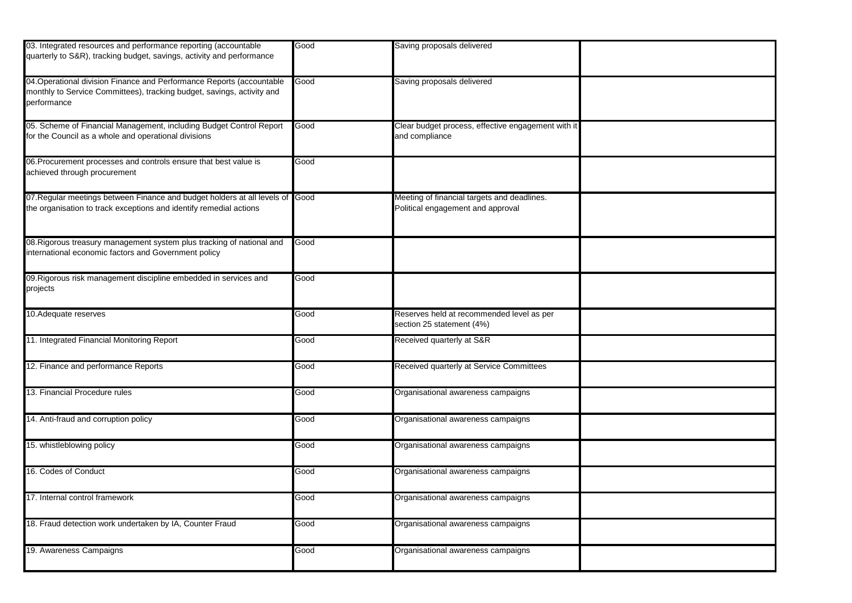| 03. Integrated resources and performance reporting (accountable<br>quarterly to S&R), tracking budget, savings, activity and performance                       | Good | Saving proposals delivered                                                       |  |
|----------------------------------------------------------------------------------------------------------------------------------------------------------------|------|----------------------------------------------------------------------------------|--|
| 04. Operational division Finance and Performance Reports (accountable<br>monthly to Service Committees), tracking budget, savings, activity and<br>berformance | Good | Saving proposals delivered                                                       |  |
| 05. Scheme of Financial Management, including Budget Control Report<br>or the Council as a whole and operational divisions                                     | Good | Clear budget process, effective engagement with it<br>and compliance             |  |
| 06. Procurement processes and controls ensure that best value is<br>achieved through procurement                                                               | Good |                                                                                  |  |
| 07. Regular meetings between Finance and budget holders at all levels of<br>he organisation to track exceptions and identify remedial actions                  | Good | Meeting of financial targets and deadlines.<br>Political engagement and approval |  |
| 08. Rigorous treasury management system plus tracking of national and<br>nternational economic factors and Government policy                                   | Good |                                                                                  |  |
| 09. Rigorous risk management discipline embedded in services and<br>projects                                                                                   | Good |                                                                                  |  |
| 10. Adequate reserves                                                                                                                                          | Good | Reserves held at recommended level as per<br>section 25 statement (4%)           |  |
| 11. Integrated Financial Monitoring Report                                                                                                                     | Good | Received quarterly at S&R                                                        |  |
| 12. Finance and performance Reports                                                                                                                            | Good | Received quarterly at Service Committees                                         |  |
| 13. Financial Procedure rules                                                                                                                                  | Good | Organisational awareness campaigns                                               |  |
| 14. Anti-fraud and corruption policy                                                                                                                           | Good | Organisational awareness campaigns                                               |  |
| 15. whistleblowing policy                                                                                                                                      | Good | Organisational awareness campaigns                                               |  |
| 16. Codes of Conduct                                                                                                                                           | Good | Organisational awareness campaigns                                               |  |
| 17. Internal control framework                                                                                                                                 | Good | Organisational awareness campaigns                                               |  |
| 18. Fraud detection work undertaken by IA, Counter Fraud                                                                                                       | Good | Organisational awareness campaigns                                               |  |
| 19. Awareness Campaigns                                                                                                                                        | Good | Organisational awareness campaigns                                               |  |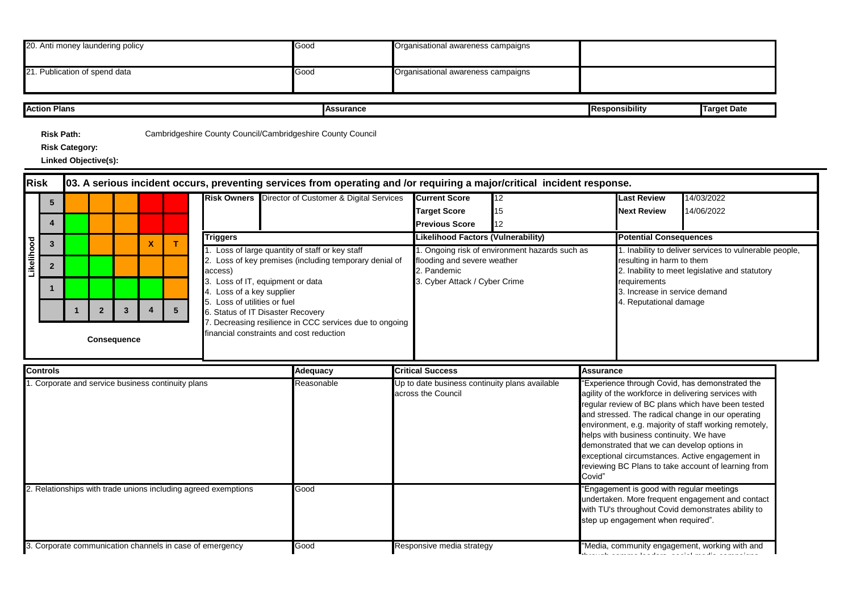| 20. Anti money laundering policy                                                                                     |                                                                                                                                                                                                                                                                                                                                                                                  |                                                      |  |  |                           |                                                                                                                                                                                                                                                    |                 | Good                                                                                                                    |                                                                      | Organisational awareness campaigns                                             |                                                                                                                                                                                                                  |                                          |                                                                                                                                     |                                                                                                                                                                                                                                                                                                                                                                                                                                          |  |
|----------------------------------------------------------------------------------------------------------------------|----------------------------------------------------------------------------------------------------------------------------------------------------------------------------------------------------------------------------------------------------------------------------------------------------------------------------------------------------------------------------------|------------------------------------------------------|--|--|---------------------------|----------------------------------------------------------------------------------------------------------------------------------------------------------------------------------------------------------------------------------------------------|-----------------|-------------------------------------------------------------------------------------------------------------------------|----------------------------------------------------------------------|--------------------------------------------------------------------------------|------------------------------------------------------------------------------------------------------------------------------------------------------------------------------------------------------------------|------------------------------------------|-------------------------------------------------------------------------------------------------------------------------------------|------------------------------------------------------------------------------------------------------------------------------------------------------------------------------------------------------------------------------------------------------------------------------------------------------------------------------------------------------------------------------------------------------------------------------------------|--|
|                                                                                                                      |                                                                                                                                                                                                                                                                                                                                                                                  | 21. Publication of spend data                        |  |  |                           |                                                                                                                                                                                                                                                    |                 | Good                                                                                                                    |                                                                      | Organisational awareness campaigns                                             |                                                                                                                                                                                                                  |                                          |                                                                                                                                     |                                                                                                                                                                                                                                                                                                                                                                                                                                          |  |
|                                                                                                                      | <b>Action Plans</b>                                                                                                                                                                                                                                                                                                                                                              |                                                      |  |  |                           |                                                                                                                                                                                                                                                    |                 | <b>Assurance</b>                                                                                                        |                                                                      |                                                                                |                                                                                                                                                                                                                  |                                          | Responsibility                                                                                                                      | <b>Target Date</b>                                                                                                                                                                                                                                                                                                                                                                                                                       |  |
|                                                                                                                      | <b>Risk Path:</b>                                                                                                                                                                                                                                                                                                                                                                | <b>Risk Category:</b><br><b>Linked Objective(s):</b> |  |  |                           |                                                                                                                                                                                                                                                    |                 | Cambridgeshire County Council/Cambridgeshire County Council                                                             |                                                                      |                                                                                |                                                                                                                                                                                                                  |                                          |                                                                                                                                     |                                                                                                                                                                                                                                                                                                                                                                                                                                          |  |
| <b>Risk</b>                                                                                                          |                                                                                                                                                                                                                                                                                                                                                                                  |                                                      |  |  |                           |                                                                                                                                                                                                                                                    |                 | 03. A serious incident occurs, preventing services from operating and /or requiring a major/critical incident response. |                                                                      |                                                                                |                                                                                                                                                                                                                  |                                          |                                                                                                                                     |                                                                                                                                                                                                                                                                                                                                                                                                                                          |  |
| Risk Owners Director of Customer & Digital Services<br>5                                                             |                                                                                                                                                                                                                                                                                                                                                                                  |                                                      |  |  |                           |                                                                                                                                                                                                                                                    |                 |                                                                                                                         | <b>Current Score</b><br><b>Target Score</b><br><b>Previous Score</b> | 12<br>15<br>12                                                                 |                                                                                                                                                                                                                  | <b>Last Review</b><br><b>Next Review</b> | 4/03/2022<br>14/06/2022                                                                                                             |                                                                                                                                                                                                                                                                                                                                                                                                                                          |  |
|                                                                                                                      | $\mathbf{3}$                                                                                                                                                                                                                                                                                                                                                                     |                                                      |  |  | $\boldsymbol{\mathsf{x}}$ | т                                                                                                                                                                                                                                                  | <b>Triggers</b> |                                                                                                                         |                                                                      | Likelihood Factors (Vulnerability)                                             |                                                                                                                                                                                                                  | <b>Potential Consequences</b>            |                                                                                                                                     |                                                                                                                                                                                                                                                                                                                                                                                                                                          |  |
|                                                                                                                      | Likelihood<br>1. Loss of large quantity of staff or key staff<br>$\overline{2}$<br>access)<br>3. Loss of IT, equipment or data<br>4. Loss of a key supplier<br>5. Loss of utilities or fuel<br>$\mathbf{3}$<br>$\overline{\mathbf{4}}$<br>5 <sup>5</sup><br>$\overline{2}$<br>6. Status of IT Disaster Recovery<br>inancial constraints and cost reduction<br><b>Consequence</b> |                                                      |  |  |                           | 1. Ongoing risk of environment hazards such as<br>2. Loss of key premises (including temporary denial of<br>flooding and severe weather<br>2. Pandemic<br>3. Cyber Attack / Cyber Crime<br>7. Decreasing resilience in CCC services due to ongoing |                 |                                                                                                                         |                                                                      |                                                                                | 1. Inability to deliver services to vulnerable people,<br>resulting in harm to them<br>2. Inability to meet legislative and statutory<br>requirements<br>3. Increase in service demand<br>4. Reputational damage |                                          |                                                                                                                                     |                                                                                                                                                                                                                                                                                                                                                                                                                                          |  |
|                                                                                                                      | <b>Controls</b>                                                                                                                                                                                                                                                                                                                                                                  |                                                      |  |  |                           |                                                                                                                                                                                                                                                    |                 | <b>Adequacy</b>                                                                                                         |                                                                      | <b>Critical Success</b>                                                        |                                                                                                                                                                                                                  | Assurance                                |                                                                                                                                     |                                                                                                                                                                                                                                                                                                                                                                                                                                          |  |
| 1. Corporate and service business continuity plans<br>2. Relationships with trade unions including agreed exemptions |                                                                                                                                                                                                                                                                                                                                                                                  |                                                      |  |  |                           |                                                                                                                                                                                                                                                    |                 | Reasonable<br>Good                                                                                                      |                                                                      | Up to date business continuity plans available<br>across the Council<br>Covid" |                                                                                                                                                                                                                  |                                          | helps with business continuity. We have<br>demonstrated that we can develop options in<br>"Engagement is good with regular meetings | 'Experience through Covid, has demonstrated the<br>agility of the workforce in delivering services with<br>regular review of BC plans which have been tested<br>and stressed. The radical change in our operating<br>environment, e.g. majority of staff working remotely,<br>exceptional circumstances. Active engagement in<br>reviewing BC Plans to take account of learning from<br>undertaken. More frequent engagement and contact |  |
|                                                                                                                      | 3. Corporate communication channels in case of emergency                                                                                                                                                                                                                                                                                                                         |                                                      |  |  |                           |                                                                                                                                                                                                                                                    |                 | Good                                                                                                                    |                                                                      | Responsive media strategy                                                      |                                                                                                                                                                                                                  |                                          | step up engagement when required".                                                                                                  | with TU's throughout Covid demonstrates ability to<br>"Media, community engagement, working with and                                                                                                                                                                                                                                                                                                                                     |  |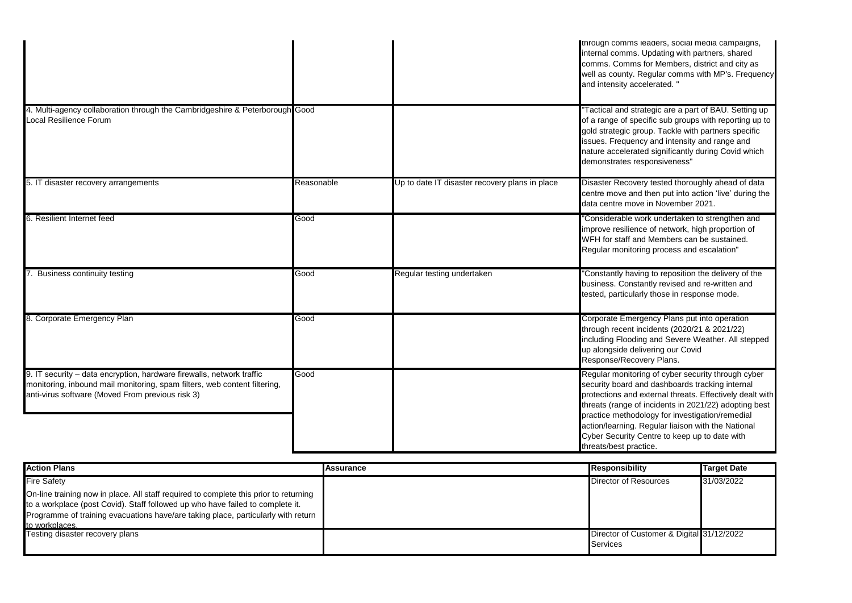|                                                                                                                                                                                                        |            |                                                | through comms leaders, social media campaigns,<br>internal comms. Updating with partners, shared<br>comms. Comms for Members, district and city as<br>well as county. Regular comms with MP's. Frequency<br>and intensity accelerated."                                                                                                                                                                        |
|--------------------------------------------------------------------------------------------------------------------------------------------------------------------------------------------------------|------------|------------------------------------------------|----------------------------------------------------------------------------------------------------------------------------------------------------------------------------------------------------------------------------------------------------------------------------------------------------------------------------------------------------------------------------------------------------------------|
| 4. Multi-agency collaboration through the Cambridgeshire & Peterborough Good<br>Local Resilience Forum                                                                                                 |            |                                                | "Tactical and strategic are a part of BAU. Setting up<br>of a range of specific sub groups with reporting up to<br>gold strategic group. Tackle with partners specific<br>issues. Frequency and intensity and range and<br>nature accelerated significantly during Covid which<br>demonstrates responsiveness"                                                                                                 |
| 5. IT disaster recovery arrangements                                                                                                                                                                   | Reasonable | Up to date IT disaster recovery plans in place | Disaster Recovery tested thoroughly ahead of data<br>centre move and then put into action 'live' during the<br>data centre move in November 2021.                                                                                                                                                                                                                                                              |
| 6. Resilient Internet feed                                                                                                                                                                             | Good       |                                                | "Considerable work undertaken to strengthen and<br>improve resilience of network, high proportion of<br>WFH for staff and Members can be sustained.<br>Regular monitoring process and escalation"                                                                                                                                                                                                              |
| Business continuity testing                                                                                                                                                                            | Good       | Regular testing undertaken                     | 'Constantly having to reposition the delivery of the<br>business. Constantly revised and re-written and<br>tested, particularly those in response mode.                                                                                                                                                                                                                                                        |
| 8. Corporate Emergency Plan                                                                                                                                                                            | Good       |                                                | Corporate Emergency Plans put into operation<br>through recent incidents (2020/21 & 2021/22)<br>including Flooding and Severe Weather. All stepped<br>up alongside delivering our Covid<br>Response/Recovery Plans.                                                                                                                                                                                            |
| 9. IT security - data encryption, hardware firewalls, network traffic<br>monitoring, inbound mail monitoring, spam filters, web content filtering,<br>anti-virus software (Moved From previous risk 3) | Good       |                                                | Regular monitoring of cyber security through cyber<br>security board and dashboards tracking internal<br>protections and external threats. Effectively dealt with<br>threats (range of incidents in 2021/22) adopting best<br>practice methodology for investigation/remedial<br>action/learning. Regular liaison with the National<br>Cyber Security Centre to keep up to date with<br>threats/best practice. |

| <b>Action Plans</b>                                                                   | <b>Assurance</b> | <b>Responsibility</b>                     | Target Date |
|---------------------------------------------------------------------------------------|------------------|-------------------------------------------|-------------|
| <b>Fire Safety</b>                                                                    |                  | <b>Director of Resources</b>              | 31/03/2022  |
| On-line training now in place. All staff required to complete this prior to returning |                  |                                           |             |
| to a workplace (post Covid). Staff followed up who have failed to complete it.        |                  |                                           |             |
| Programme of training evacuations have/are taking place, particularly with return     |                  |                                           |             |
| to workplaces.                                                                        |                  |                                           |             |
| Testing disaster recovery plans                                                       |                  | Director of Customer & Digital 31/12/2022 |             |
|                                                                                       |                  | Services                                  |             |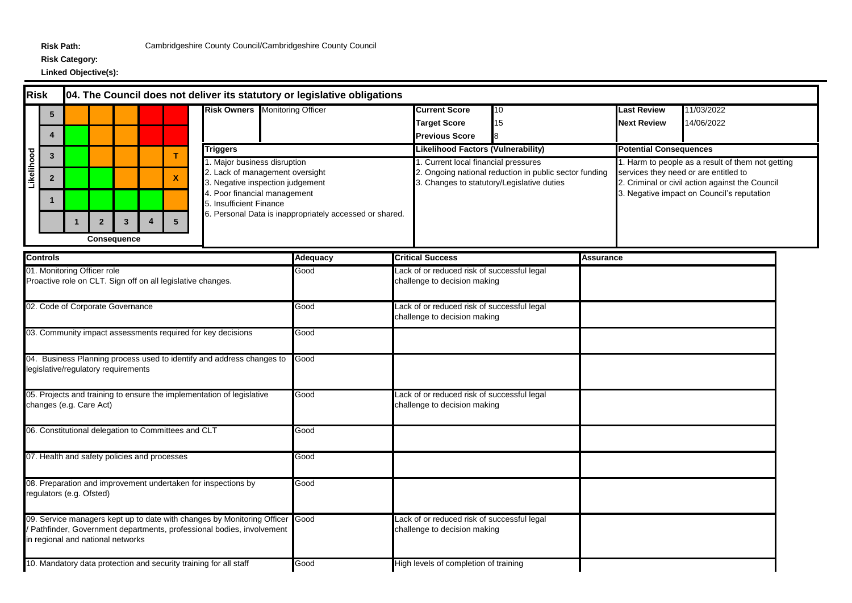## **Risk Category:**

| <b>Risk</b><br>04. The Council does not deliver its statutory or legislative obligations  |                                                                                                                                                                                           |                         |                                              |                |   |                                                             |                                                                       |                                                                                                                                                                                                                           |          |  |                                                                             |                                                                                    |                                                        |                                                                                                                                                                                             |                               |            |  |
|-------------------------------------------------------------------------------------------|-------------------------------------------------------------------------------------------------------------------------------------------------------------------------------------------|-------------------------|----------------------------------------------|----------------|---|-------------------------------------------------------------|-----------------------------------------------------------------------|---------------------------------------------------------------------------------------------------------------------------------------------------------------------------------------------------------------------------|----------|--|-----------------------------------------------------------------------------|------------------------------------------------------------------------------------|--------------------------------------------------------|---------------------------------------------------------------------------------------------------------------------------------------------------------------------------------------------|-------------------------------|------------|--|
|                                                                                           | 5                                                                                                                                                                                         |                         |                                              |                |   |                                                             | <b>Risk Owners</b> Monitoring Officer                                 |                                                                                                                                                                                                                           |          |  | <b>Current Score</b>                                                        | 10                                                                                 |                                                        |                                                                                                                                                                                             | <b>Last Review</b>            | 11/03/2022 |  |
|                                                                                           |                                                                                                                                                                                           |                         |                                              |                |   |                                                             |                                                                       |                                                                                                                                                                                                                           |          |  | <b>Target Score</b>                                                         | 15                                                                                 |                                                        |                                                                                                                                                                                             | <b>Next Review</b>            | 14/06/2022 |  |
|                                                                                           | 4                                                                                                                                                                                         |                         |                                              |                |   |                                                             | <b>Previous Score</b><br>8                                            |                                                                                                                                                                                                                           |          |  |                                                                             |                                                                                    |                                                        |                                                                                                                                                                                             |                               |            |  |
|                                                                                           | $\mathbf{3}$                                                                                                                                                                              |                         |                                              |                |   | т                                                           | <b>Triggers</b>                                                       |                                                                                                                                                                                                                           |          |  | <b>Likelihood Factors (Vulnerability)</b>                                   |                                                                                    |                                                        |                                                                                                                                                                                             | <b>Potential Consequences</b> |            |  |
| Likelihood                                                                                | $\overline{2}$<br>1                                                                                                                                                                       | $\mathbf{1}$            | $\overline{2}$                               | $\overline{3}$ | 4 | $\pmb{\mathsf{x}}$<br>$5\overline{5}$                       |                                                                       | 1. Major business disruption<br>2. Lack of management oversight<br>3. Negative inspection judgement<br>4. Poor financial management<br>5. Insufficient Finance<br>6. Personal Data is inappropriately accessed or shared. |          |  |                                                                             | 1. Current local financial pressures<br>3. Changes to statutory/Legislative duties | 2. Ongoing national reduction in public sector funding | 1. Harm to people as a result of them not getting<br>services they need or are entitled to<br>2. Criminal or civil action against the Council<br>3. Negative impact on Council's reputation |                               |            |  |
|                                                                                           |                                                                                                                                                                                           |                         | <b>Consequence</b>                           |                |   |                                                             |                                                                       |                                                                                                                                                                                                                           |          |  |                                                                             |                                                                                    |                                                        |                                                                                                                                                                                             |                               |            |  |
|                                                                                           | <b>Controls</b>                                                                                                                                                                           |                         |                                              |                |   |                                                             |                                                                       |                                                                                                                                                                                                                           | Adequacy |  | <b>Critical Success</b>                                                     |                                                                                    |                                                        | Assurance                                                                                                                                                                                   |                               |            |  |
|                                                                                           |                                                                                                                                                                                           |                         | 01. Monitoring Officer role                  |                |   | Proactive role on CLT. Sign off on all legislative changes. |                                                                       |                                                                                                                                                                                                                           | Good     |  | Lack of or reduced risk of successful legal<br>challenge to decision making |                                                                                    |                                                        |                                                                                                                                                                                             |                               |            |  |
| 02. Code of Corporate Governance                                                          |                                                                                                                                                                                           |                         |                                              |                |   |                                                             |                                                                       |                                                                                                                                                                                                                           | Good     |  | Lack of or reduced risk of successful legal<br>challenge to decision making |                                                                                    |                                                        |                                                                                                                                                                                             |                               |            |  |
|                                                                                           |                                                                                                                                                                                           |                         |                                              |                |   |                                                             | 03. Community impact assessments required for key decisions           |                                                                                                                                                                                                                           | Good     |  |                                                                             |                                                                                    |                                                        |                                                                                                                                                                                             |                               |            |  |
|                                                                                           |                                                                                                                                                                                           |                         | legislative/regulatory requirements          |                |   |                                                             | 04. Business Planning process used to identify and address changes to |                                                                                                                                                                                                                           | Good     |  |                                                                             |                                                                                    |                                                        |                                                                                                                                                                                             |                               |            |  |
|                                                                                           |                                                                                                                                                                                           | changes (e.g. Care Act) |                                              |                |   |                                                             | 05. Projects and training to ensure the implementation of legislative |                                                                                                                                                                                                                           | Good     |  | Lack of or reduced risk of successful legal<br>challenge to decision making |                                                                                    |                                                        |                                                                                                                                                                                             |                               |            |  |
|                                                                                           |                                                                                                                                                                                           |                         |                                              |                |   | 06. Constitutional delegation to Committees and CLT         |                                                                       |                                                                                                                                                                                                                           | Good     |  |                                                                             |                                                                                    |                                                        |                                                                                                                                                                                             |                               |            |  |
|                                                                                           |                                                                                                                                                                                           |                         | 07. Health and safety policies and processes |                |   |                                                             |                                                                       |                                                                                                                                                                                                                           | Good     |  |                                                                             |                                                                                    |                                                        |                                                                                                                                                                                             |                               |            |  |
| 08. Preparation and improvement undertaken for inspections by<br>regulators (e.g. Ofsted) |                                                                                                                                                                                           |                         |                                              |                |   |                                                             |                                                                       |                                                                                                                                                                                                                           | Good     |  |                                                                             |                                                                                    |                                                        |                                                                                                                                                                                             |                               |            |  |
|                                                                                           | 09. Service managers kept up to date with changes by Monitoring Officer Good<br>Pathfinder, Government departments, professional bodies, involvement<br>in regional and national networks |                         |                                              |                |   |                                                             |                                                                       |                                                                                                                                                                                                                           |          |  | Lack of or reduced risk of successful legal<br>challenge to decision making |                                                                                    |                                                        |                                                                                                                                                                                             |                               |            |  |
|                                                                                           |                                                                                                                                                                                           |                         |                                              |                |   |                                                             | 10. Mandatory data protection and security training for all staff     |                                                                                                                                                                                                                           | Good     |  | High levels of completion of training                                       |                                                                                    |                                                        |                                                                                                                                                                                             |                               |            |  |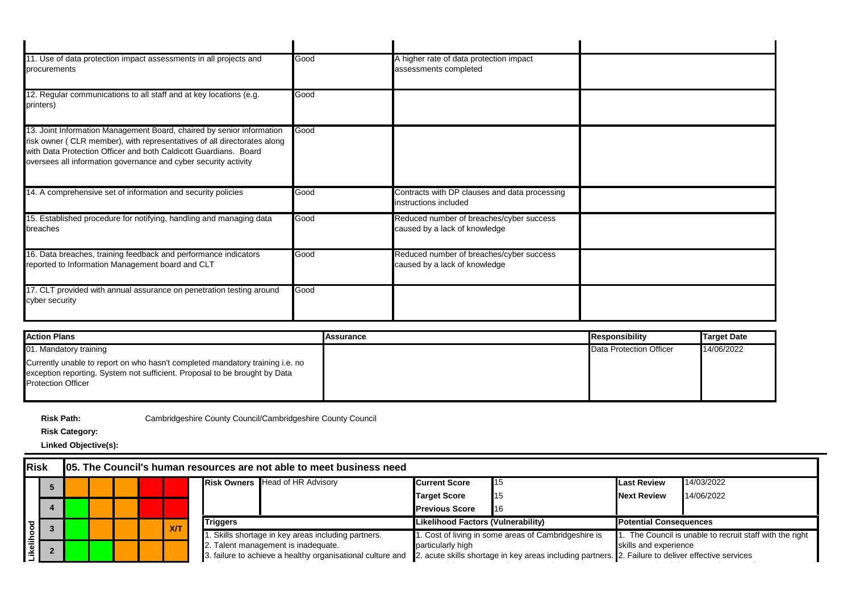| 11. Use of data protection impact assessments in all projects and<br>procurements                                                                                                                                                                                                        | Good | A higher rate of data protection impact<br>assessments completed          |  |
|------------------------------------------------------------------------------------------------------------------------------------------------------------------------------------------------------------------------------------------------------------------------------------------|------|---------------------------------------------------------------------------|--|
| 12. Regular communications to all staff and at key locations (e.g.<br>printers)                                                                                                                                                                                                          | Good |                                                                           |  |
| 13. Joint Information Management Board, chaired by senior information<br>risk owner ( CLR member), with representatives of all directorates along<br>with Data Protection Officer and both Caldicott Guardians. Board<br>oversees all information governance and cyber security activity | Good |                                                                           |  |
| 14. A comprehensive set of information and security policies                                                                                                                                                                                                                             | Good | Contracts with DP clauses and data processing<br>instructions included    |  |
| 15. Established procedure for notifying, handling and managing data<br>breaches                                                                                                                                                                                                          | Good | Reduced number of breaches/cyber success<br>caused by a lack of knowledge |  |
| 16. Data breaches, training feedback and performance indicators<br>reported to Information Management board and CLT                                                                                                                                                                      | Good | Reduced number of breaches/cyber success<br>caused by a lack of knowledge |  |
| 17. CLT provided with annual assurance on penetration testing around<br>cyber security                                                                                                                                                                                                   | Good |                                                                           |  |

| <b>Action Plans</b>                                                                                                                                                                      | <b>Assurance</b> | Responsibility          | <b>Target Date</b> |
|------------------------------------------------------------------------------------------------------------------------------------------------------------------------------------------|------------------|-------------------------|--------------------|
| 01. Mandatory training                                                                                                                                                                   |                  | Data Protection Officer | 14/06/2022         |
| Currently unable to report on who hasn't completed mandatory training i.e. no<br>exception reporting. System not sufficient. Proposal to be brought by Data<br><b>Protection Officer</b> |                  |                         |                    |

**Risk Category:**

**Linked Objective(s):**

## **Risk 05. The Council's human resources are not able to meet business need**

|  |                                                            |  |                                                                                                    |     |                 | <b>Risk Owners Head of HR Advisory</b>             | <b>Current Score</b>               | $\blacksquare$ 15                                   | <b>Last Review</b>            | 14/03/2022                                            |
|--|------------------------------------------------------------|--|----------------------------------------------------------------------------------------------------|-----|-----------------|----------------------------------------------------|------------------------------------|-----------------------------------------------------|-------------------------------|-------------------------------------------------------|
|  |                                                            |  |                                                                                                    |     |                 |                                                    | <b>Target Score</b>                | 115                                                 | <b>Next Review</b>            | 14/06/2022                                            |
|  |                                                            |  |                                                                                                    |     |                 |                                                    | <b>Previous Score</b>              | 116                                                 |                               |                                                       |
|  |                                                            |  |                                                                                                    | X/T | <b>Triggers</b> |                                                    | Likelihood Factors (Vulnerability) |                                                     | <b>Potential Consequences</b> |                                                       |
|  |                                                            |  |                                                                                                    |     |                 | . Skills shortage in key areas including partners. |                                    | . Cost of living in some areas of Cambridgeshire is |                               | The Council is unable to recruit staff with the right |
|  |                                                            |  |                                                                                                    |     |                 | 2. Talent management is inadequate.                |                                    | particularly high                                   |                               | skills and experience                                 |
|  | 3. failure to achieve a healthy organisational culture and |  | 2. acute skills shortage in key areas including partners. 2. Failure to deliver effective services |     |                 |                                                    |                                    |                                                     |                               |                                                       |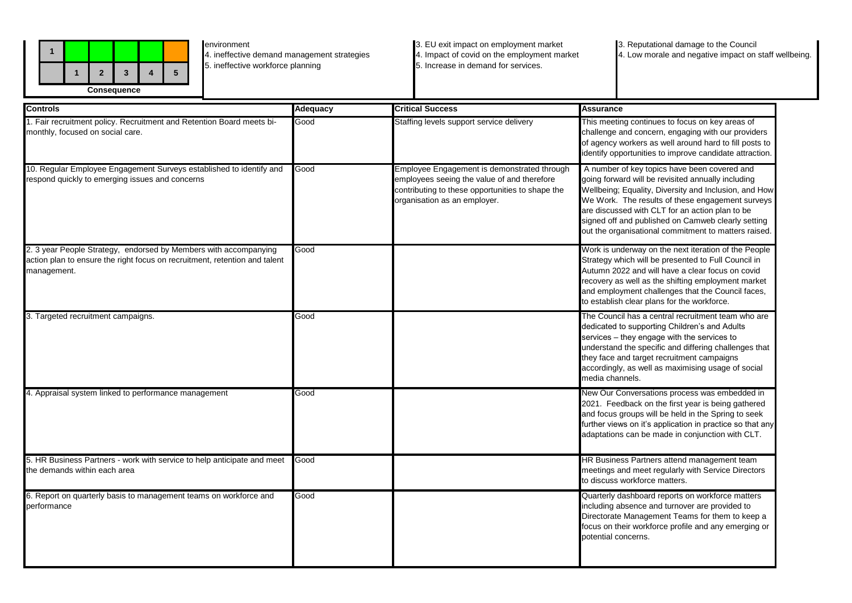

environment 4. ineffective demand management strategies 5. ineffective workforce planning

3. EU exit impact on employment market 4. Impact of covid on the employment market 5. Increase in demand for services.

3. Reputational damage to the Council 4. Low morale and negative impact on staff wellbeing.

| <b>Controls</b>                                                                                                                                               | <b>Adequacy</b> | <b>Critical Success</b>                                                                                                                                                        | <b>Assurance</b>                                                                                                                                                                                                                                                                                                                                                                 |
|---------------------------------------------------------------------------------------------------------------------------------------------------------------|-----------------|--------------------------------------------------------------------------------------------------------------------------------------------------------------------------------|----------------------------------------------------------------------------------------------------------------------------------------------------------------------------------------------------------------------------------------------------------------------------------------------------------------------------------------------------------------------------------|
| 1. Fair recruitment policy. Recruitment and Retention Board meets bi-<br>monthly, focused on social care.                                                     | Good            | Staffing levels support service delivery                                                                                                                                       | This meeting continues to focus on key areas of<br>challenge and concern, engaging with our providers<br>of agency workers as well around hard to fill posts to<br>identify opportunities to improve candidate attraction.                                                                                                                                                       |
| 10. Regular Employee Engagement Surveys established to identify and<br>respond quickly to emerging issues and concerns                                        | Good            | Employee Engagement is demonstrated through<br>employees seeing the value of and therefore<br>contributing to these opportunities to shape the<br>organisation as an employer. | A number of key topics have been covered and<br>going forward will be revisited annually including<br>Wellbeing; Equality, Diversity and Inclusion, and How<br>We Work. The results of these engagement surveys<br>are discussed with CLT for an action plan to be<br>signed off and published on Camweb clearly setting<br>out the organisational commitment to matters raised. |
| 2. 3 year People Strategy, endorsed by Members with accompanying<br>action plan to ensure the right focus on recruitment, retention and talent<br>management. | Good            |                                                                                                                                                                                | Work is underway on the next iteration of the People<br>Strategy which will be presented to Full Council in<br>Autumn 2022 and will have a clear focus on covid<br>recovery as well as the shifting employment market<br>and employment challenges that the Council faces,<br>to establish clear plans for the workforce.                                                        |
| 3. Targeted recruitment campaigns.                                                                                                                            | Good            |                                                                                                                                                                                | The Council has a central recruitment team who are<br>dedicated to supporting Children's and Adults<br>services - they engage with the services to<br>understand the specific and differing challenges that<br>they face and target recruitment campaigns<br>accordingly, as well as maximising usage of social<br>media channels.                                               |
| 4. Appraisal system linked to performance management                                                                                                          | Good            |                                                                                                                                                                                | New Our Conversations process was embedded in<br>2021. Feedback on the first year is being gathered<br>and focus groups will be held in the Spring to seek<br>further views on it's application in practice so that any<br>adaptations can be made in conjunction with CLT.                                                                                                      |
| 5. HR Business Partners - work with service to help anticipate and meet<br>the demands within each area                                                       | Good            |                                                                                                                                                                                | HR Business Partners attend management team<br>meetings and meet regularly with Service Directors<br>to discuss workforce matters.                                                                                                                                                                                                                                               |
| 6. Report on quarterly basis to management teams on workforce and<br>performance                                                                              | Good            |                                                                                                                                                                                | Quarterly dashboard reports on workforce matters<br>including absence and turnover are provided to<br>Directorate Management Teams for them to keep a<br>focus on their workforce profile and any emerging or<br>potential concerns.                                                                                                                                             |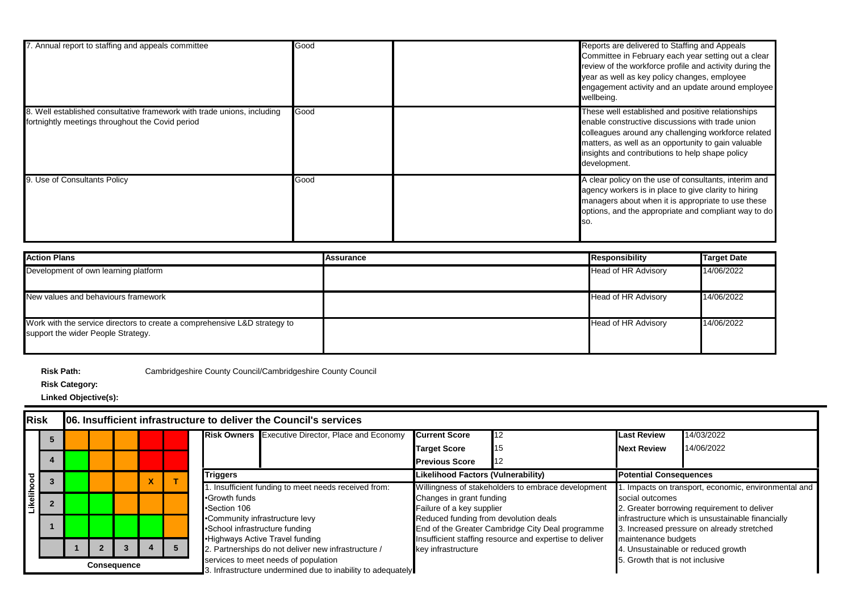| 7. Annual report to staffing and appeals committee                                                                          | Good | Reports are delivered to Staffing and Appeals<br>Committee in February each year setting out a clear<br>review of the workforce profile and activity during the<br>year as well as key policy changes, employee<br>engagement activity and an update around employee<br>wellbeing.     |
|-----------------------------------------------------------------------------------------------------------------------------|------|----------------------------------------------------------------------------------------------------------------------------------------------------------------------------------------------------------------------------------------------------------------------------------------|
| 8. Well established consultative framework with trade unions, including<br>fortnightly meetings throughout the Covid period | Good | These well established and positive relationships<br>enable constructive discussions with trade union<br>colleagues around any challenging workforce related<br>matters, as well as an opportunity to gain valuable<br>insights and contributions to help shape policy<br>development. |
| 9. Use of Consultants Policy                                                                                                | Good | A clear policy on the use of consultants, interim and<br>agency workers is in place to give clarity to hiring<br>managers about when it is appropriate to use these<br>options, and the appropriate and compliant way to do<br>lso.                                                    |

| <b>Action Plans</b>                                                                                             | Assurance | <b>Responsibility</b> | Target Date |
|-----------------------------------------------------------------------------------------------------------------|-----------|-----------------------|-------------|
| Development of own learning platform                                                                            |           | Head of HR Advisory   | 14/06/2022  |
| New values and behaviours framework                                                                             |           | Head of HR Advisory   | 14/06/2022  |
| Work with the service directors to create a comprehensive L&D strategy to<br>support the wider People Strategy. |           | Head of HR Advisory   | 14/06/2022  |

**Risk Category:**

| <b>Risk</b>        |   | 06. Insufficient infrastructure to deliver the Council's services |  |  |                                                                                                    |  |                                                          |                                 |                                                         |                                                   |                                                   |  |
|--------------------|---|-------------------------------------------------------------------|--|--|----------------------------------------------------------------------------------------------------|--|----------------------------------------------------------|---------------------------------|---------------------------------------------------------|---------------------------------------------------|---------------------------------------------------|--|
|                    | n |                                                                   |  |  |                                                                                                    |  | <b>Risk Owners</b> Executive Director, Place and Economy | <b>Current Score</b>            | 12                                                      | <b>Last Review</b>                                | 14/03/2022                                        |  |
|                    |   |                                                                   |  |  |                                                                                                    |  |                                                          | <b>Target Score</b>             | 15                                                      | <b>Next Review</b>                                | 14/06/2022                                        |  |
|                    |   |                                                                   |  |  |                                                                                                    |  |                                                          | <b>Previous Score</b>           | 12                                                      |                                                   |                                                   |  |
|                    |   |                                                                   |  |  |                                                                                                    |  | <b>Triggers</b>                                          |                                 | Likelihood Factors (Vulnerability)                      |                                                   | <b>Potential Consequences</b>                     |  |
| Likelihood         |   |                                                                   |  |  |                                                                                                    |  | . Insufficient funding to meet needs received from:      |                                 | Willingness of stakeholders to embrace development      | Impacts on transport, economic, environmental and |                                                   |  |
|                    |   |                                                                   |  |  |                                                                                                    |  | •Growth funds                                            | Changes in grant funding        |                                                         | social outcomes                                   |                                                   |  |
|                    |   |                                                                   |  |  |                                                                                                    |  | •Section 106                                             | Failure of a key supplier       |                                                         | 2. Greater borrowing requirement to deliver       |                                                   |  |
|                    |   |                                                                   |  |  |                                                                                                    |  | •Community infrastructure levy                           |                                 | Reduced funding from devolution deals                   |                                                   | infrastructure which is unsustainable financially |  |
|                    |   |                                                                   |  |  |                                                                                                    |  | •School infrastructure funding                           |                                 | End of the Greater Cambridge City Deal programme        |                                                   | 3. Increased pressure on already stretched        |  |
|                    |   |                                                                   |  |  |                                                                                                    |  | .Highways Active Travel funding                          |                                 | Insufficient staffing resource and expertise to deliver | maintenance budgets                               |                                                   |  |
|                    |   |                                                                   |  |  |                                                                                                    |  | 2. Partnerships do not deliver new infrastructure /      | key infrastructure              |                                                         |                                                   | 4. Unsustainable or reduced growth                |  |
| <b>Consequence</b> |   |                                                                   |  |  | services to meet needs of population<br>. Infrastructure undermined due to inability to adequately |  |                                                          | 5. Growth that is not inclusive |                                                         |                                                   |                                                   |  |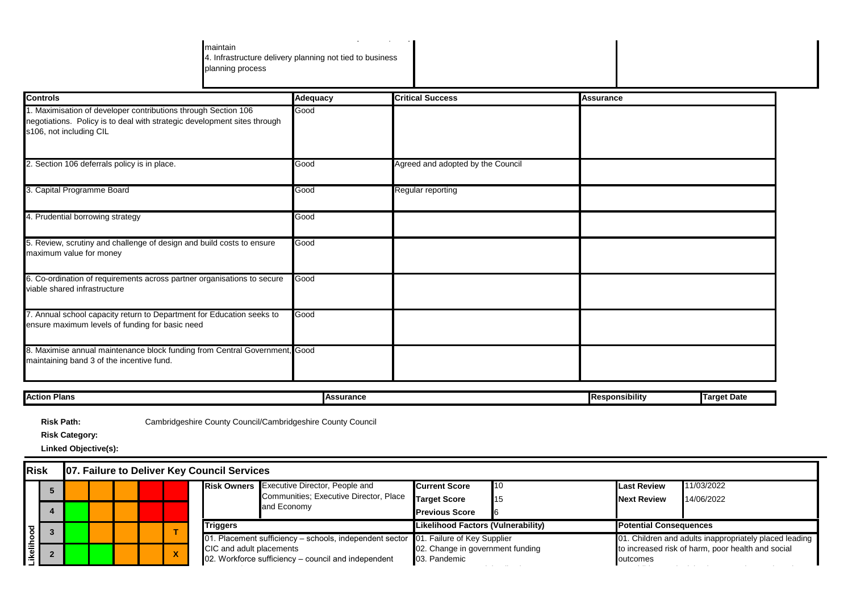maintain 4. Infrastructure delivery planning not tied to business planning process

3. Infrastructure undermined due to inability to adequately

| <b>Controls</b>                                                                                                                                                       | <b>Adequacy</b>  | <b>Critical Success</b>           | <b>Assurance</b>      |                    |
|-----------------------------------------------------------------------------------------------------------------------------------------------------------------------|------------------|-----------------------------------|-----------------------|--------------------|
| 1. Maximisation of developer contributions through Section 106<br>negotiations. Policy is to deal with strategic development sites through<br>s106, not including CIL | Good             |                                   |                       |                    |
| 2. Section 106 deferrals policy is in place.                                                                                                                          | Good             | Agreed and adopted by the Council |                       |                    |
| 3. Capital Programme Board                                                                                                                                            | Good             | Regular reporting                 |                       |                    |
| 4. Prudential borrowing strategy                                                                                                                                      | Good             |                                   |                       |                    |
| 5. Review, scrutiny and challenge of design and build costs to ensure<br>maximum value for money                                                                      | Good             |                                   |                       |                    |
| 6. Co-ordination of requirements across partner organisations to secure<br>viable shared infrastructure                                                               | Good             |                                   |                       |                    |
| 7. Annual school capacity return to Department for Education seeks to<br>ensure maximum levels of funding for basic need                                              | Good             |                                   |                       |                    |
| 8. Maximise annual maintenance block funding from Central Government, Good<br>maintaining band 3 of the incentive fund.                                               |                  |                                   |                       |                    |
| <b>Action Plans</b>                                                                                                                                                   | <b>Assurance</b> |                                   | <b>Responsibility</b> | <b>Target Date</b> |

**Risk Path:**

Cambridgeshire County Council/Cambridgeshire County Council

**Risk Category:**

| <b>Risk</b>       | <b>07. Failure to Deliver Key Council Services</b> |                                                                                     |                                                                                                              |  |                 |                                                  |                                                        |                                           |                                                   |                    |                               |  |
|-------------------|----------------------------------------------------|-------------------------------------------------------------------------------------|--------------------------------------------------------------------------------------------------------------|--|-----------------|--------------------------------------------------|--------------------------------------------------------|-------------------------------------------|---------------------------------------------------|--------------------|-------------------------------|--|
|                   |                                                    |                                                                                     |                                                                                                              |  |                 |                                                  | <b>Risk Owners</b> Executive Director, People and      | <b>Current Score</b>                      | 10                                                | <b>Last Review</b> | 11/03/2022                    |  |
|                   |                                                    |                                                                                     |                                                                                                              |  |                 |                                                  | Communities: Executive Director, Place<br>and Economy  | <b>Target Score</b>                       | 15                                                | <b>Next Review</b> | 14/06/2022                    |  |
|                   |                                                    |                                                                                     |                                                                                                              |  |                 |                                                  |                                                        | <b>Previous Score</b>                     |                                                   |                    |                               |  |
|                   |                                                    |                                                                                     |                                                                                                              |  | <b>Triggers</b> |                                                  |                                                        | <b>Likelihood Factors (Vulnerability)</b> |                                                   |                    | <b>Potential Consequences</b> |  |
|                   |                                                    | 01. Placement sufficiency – schools, independent sector 01. Failure of Key Supplier |                                                                                                              |  |                 |                                                  | 01. Children and adults inappropriately placed leading |                                           |                                                   |                    |                               |  |
| <b>Experiment</b> |                                                    |                                                                                     | CIC and adult placements<br>$\boldsymbol{\mathsf{A}}$<br>02. Workforce sufficiency – council and independent |  |                 | 02. Change in government funding<br>03. Pandemic |                                                        | outcomes                                  | to increased risk of harm, poor health and social |                    |                               |  |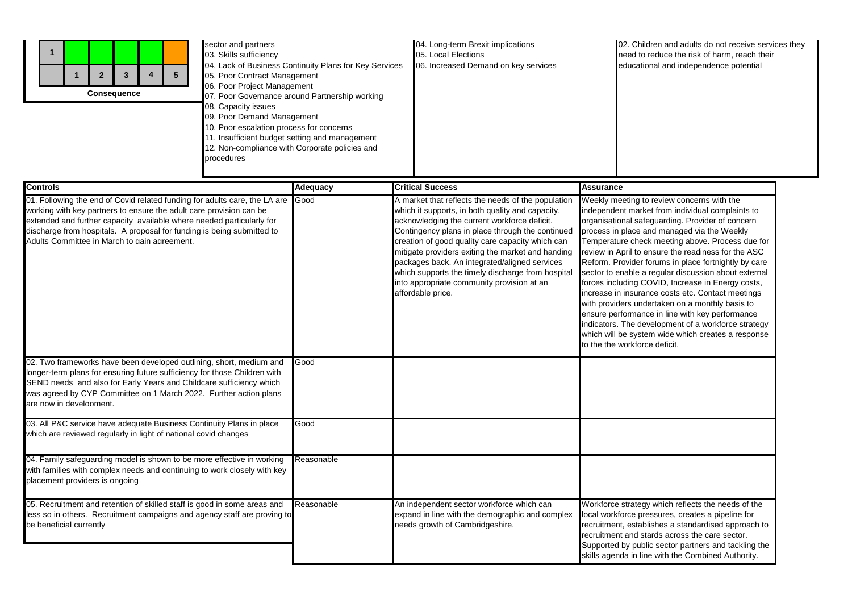| sector and partners<br>03. Skills sufficiency<br>$5\phantom{.0}$<br>$\overline{2}$<br>$\overline{4}$<br>$\mathbf{3}$<br>05. Poor Contract Management<br>06. Poor Project Management<br><b>Consequence</b><br>08. Capacity issues<br>09. Poor Demand Management<br>10. Poor escalation process for concerns<br>11. Insufficient budget setting and management<br>12. Non-compliance with Corporate policies and<br>procedures | 04. Lack of Business Continuity Plans for Key Services<br>07. Poor Governance around Partnership working | 04. Long-term Brexit implications<br>05. Local Elections<br>06. Increased Demand on key services                                                                                                                                                                                                                                                                                                                                                                                             | 02. Children and adults do not receive services they<br>need to reduce the risk of harm, reach their<br>educational and independence potential                                                                                                                                                                                                                                                                                                                                                                                                                                                                                                                                                                                                                                             |
|------------------------------------------------------------------------------------------------------------------------------------------------------------------------------------------------------------------------------------------------------------------------------------------------------------------------------------------------------------------------------------------------------------------------------|----------------------------------------------------------------------------------------------------------|----------------------------------------------------------------------------------------------------------------------------------------------------------------------------------------------------------------------------------------------------------------------------------------------------------------------------------------------------------------------------------------------------------------------------------------------------------------------------------------------|--------------------------------------------------------------------------------------------------------------------------------------------------------------------------------------------------------------------------------------------------------------------------------------------------------------------------------------------------------------------------------------------------------------------------------------------------------------------------------------------------------------------------------------------------------------------------------------------------------------------------------------------------------------------------------------------------------------------------------------------------------------------------------------------|
| <b>Controls</b>                                                                                                                                                                                                                                                                                                                                                                                                              | Adequacy                                                                                                 | <b>Critical Success</b>                                                                                                                                                                                                                                                                                                                                                                                                                                                                      | <b>Assurance</b>                                                                                                                                                                                                                                                                                                                                                                                                                                                                                                                                                                                                                                                                                                                                                                           |
| 01. Following the end of Covid related funding for adults care, the LA are<br>working with key partners to ensure the adult care provision can be<br>extended and further capacity available where needed particularly for<br>discharge from hospitals. A proposal for funding is being submitted to<br>Adults Committee in March to gain agreement.                                                                         | Good                                                                                                     | A market that reflects the needs of the population<br>which it supports, in both quality and capacity,<br>acknowledging the current workforce deficit.<br>Contingency plans in place through the continued<br>creation of good quality care capacity which can<br>mitigate providers exiting the market and handing<br>packages back. An integrated/aligned services<br>which supports the timely discharge from hospital<br>into appropriate community provision at an<br>affordable price. | Weekly meeting to review concerns with the<br>independent market from individual complaints to<br>organisational safeguarding. Provider of concern<br>process in place and managed via the Weekly<br>Temperature check meeting above. Process due for<br>review in April to ensure the readiness for the ASC<br>Reform. Provider forums in place fortnightly by care<br>sector to enable a regular discussion about external<br>forces including COVID, Increase in Energy costs,<br>increase in insurance costs etc. Contact meetings<br>with providers undertaken on a monthly basis to<br>ensure performance in line with key performance<br>indicators. The development of a workforce strategy<br>which will be system wide which creates a response<br>to the the workforce deficit. |
| 02. Two frameworks have been developed outlining, short, medium and                                                                                                                                                                                                                                                                                                                                                          | Good                                                                                                     |                                                                                                                                                                                                                                                                                                                                                                                                                                                                                              |                                                                                                                                                                                                                                                                                                                                                                                                                                                                                                                                                                                                                                                                                                                                                                                            |
| onger-term plans for ensuring future sufficiency for those Children with<br>SEND needs and also for Early Years and Childcare sufficiency which<br>was agreed by CYP Committee on 1 March 2022. Further action plans<br>are now in development                                                                                                                                                                               |                                                                                                          |                                                                                                                                                                                                                                                                                                                                                                                                                                                                                              |                                                                                                                                                                                                                                                                                                                                                                                                                                                                                                                                                                                                                                                                                                                                                                                            |
| 03. All P&C service have adequate Business Continuity Plans in place<br>which are reviewed regularly in light of national covid changes                                                                                                                                                                                                                                                                                      | Good                                                                                                     |                                                                                                                                                                                                                                                                                                                                                                                                                                                                                              |                                                                                                                                                                                                                                                                                                                                                                                                                                                                                                                                                                                                                                                                                                                                                                                            |
| 04. Family safeguarding model is shown to be more effective in working<br>with families with complex needs and continuing to work closely with key<br>blacement providers is ongoing                                                                                                                                                                                                                                         | Reasonable                                                                                               |                                                                                                                                                                                                                                                                                                                                                                                                                                                                                              |                                                                                                                                                                                                                                                                                                                                                                                                                                                                                                                                                                                                                                                                                                                                                                                            |
| 05. Recruitment and retention of skilled staff is good in some areas and<br>ess so in others. Recruitment campaigns and agency staff are proving to<br>be beneficial currently                                                                                                                                                                                                                                               | Reasonable                                                                                               | An independent sector workforce which can<br>expand in line with the demographic and complex<br>needs growth of Cambridgeshire.                                                                                                                                                                                                                                                                                                                                                              | Workforce strategy which reflects the needs of the<br>local workforce pressures, creates a pipeline for<br>recruitment, establishes a standardised approach to<br>recruitment and stards across the care sector.<br>Supported by public sector partners and tackling the<br>skills agenda in line with the Combined Authority.                                                                                                                                                                                                                                                                                                                                                                                                                                                             |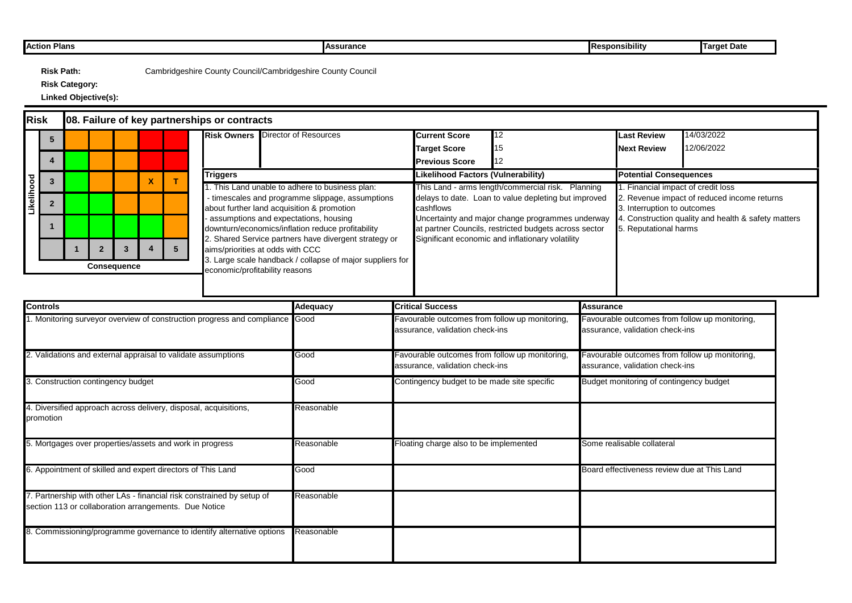| Action Plans | <b>IAssurance</b> | $\sim$ $\sim$<br><b>IResponsibility</b> | raet Date |
|--------------|-------------------|-----------------------------------------|-----------|

**Risk Category:**

| Risk<br>08. Failure of key partnerships or contracts                      |                 |                             |                    |  |  |   |                                                   |                                                                                     |                                                               |                                                                                  |                                                                                 |                  |                                                                                   |                                             |  |
|---------------------------------------------------------------------------|-----------------|-----------------------------|--------------------|--|--|---|---------------------------------------------------|-------------------------------------------------------------------------------------|---------------------------------------------------------------|----------------------------------------------------------------------------------|---------------------------------------------------------------------------------|------------------|-----------------------------------------------------------------------------------|---------------------------------------------|--|
|                                                                           |                 |                             |                    |  |  |   | <b>Risk Owners</b>                                | Director of Resources                                                               |                                                               | <b>Current Score</b>                                                             | 12                                                                              |                  | <b>Last Review</b>                                                                | 14/03/2022                                  |  |
|                                                                           |                 |                             |                    |  |  |   |                                                   |                                                                                     |                                                               | <b>Target Score</b>                                                              |                                                                                 |                  | <b>Next Review</b>                                                                | 12/06/2022                                  |  |
|                                                                           |                 |                             |                    |  |  |   |                                                   |                                                                                     |                                                               | <b>Previous Score</b>                                                            |                                                                                 |                  |                                                                                   |                                             |  |
|                                                                           |                 | <b>Triggers</b><br><b>X</b> |                    |  |  |   | <b>Likelihood Factors (Vulnerability)</b>         |                                                                                     |                                                               | <b>Potential Consequences</b>                                                    |                                                                                 |                  |                                                                                   |                                             |  |
|                                                                           |                 |                             |                    |  |  |   |                                                   | . This Land unable to adhere to business plan:                                      |                                                               |                                                                                  | This Land - arms length/commercial risk. Planning                               |                  | 1. Financial impact of credit loss                                                |                                             |  |
| Likelihood                                                                |                 |                             |                    |  |  |   |                                                   | timescales and programme slippage, assumptions                                      |                                                               |                                                                                  | delays to date. Loan to value depleting but improved                            |                  |                                                                                   | 2. Revenue impact of reduced income returns |  |
|                                                                           |                 |                             |                    |  |  |   |                                                   | about further land acquisition & promotion<br>assumptions and expectations, housing | cashflows<br>Uncertainty and major change programmes underway |                                                                                  | 3. Interruption to outcomes<br>Construction quality and health & safety matters |                  |                                                                                   |                                             |  |
|                                                                           |                 |                             |                    |  |  |   | downturn/economics/inflation reduce profitability |                                                                                     | at partner Councils, restricted budgets across sector         |                                                                                  | 5. Reputational harms                                                           |                  |                                                                                   |                                             |  |
|                                                                           |                 |                             |                    |  |  |   |                                                   |                                                                                     | 2. Shared Service partners have divergent strategy or         | Significant economic and inflationary volatility                                 |                                                                                 |                  |                                                                                   |                                             |  |
|                                                                           |                 |                             |                    |  |  | 5 |                                                   | aims/priorities at odds with CCC                                                    |                                                               |                                                                                  |                                                                                 |                  |                                                                                   |                                             |  |
|                                                                           |                 |                             | <b>Consequence</b> |  |  |   | economic/profitability reasons                    | Large scale handback / collapse of major suppliers for                              |                                                               |                                                                                  |                                                                                 |                  |                                                                                   |                                             |  |
|                                                                           |                 |                             |                    |  |  |   |                                                   |                                                                                     |                                                               |                                                                                  |                                                                                 |                  |                                                                                   |                                             |  |
|                                                                           |                 |                             |                    |  |  |   |                                                   |                                                                                     |                                                               |                                                                                  |                                                                                 |                  |                                                                                   |                                             |  |
|                                                                           | <b>Controls</b> |                             |                    |  |  |   |                                                   | Adequacy                                                                            |                                                               | <b>Critical Success</b>                                                          |                                                                                 | <b>Assurance</b> |                                                                                   |                                             |  |
| Monitoring surveyor overview of construction progress and compliance Good |                 |                             |                    |  |  |   |                                                   |                                                                                     |                                                               | avourable outcomes from follow up monitoring,<br>assurance, validation check-ins |                                                                                 |                  | Favourable outcomes from follow up monitoring,<br>assurance, validation check-ins |                                             |  |
|                                                                           |                 |                             |                    |  |  |   |                                                   |                                                                                     |                                                               |                                                                                  |                                                                                 |                  |                                                                                   |                                             |  |

| 2. Validations and external appraisal to validate assumptions                                                                   | Good       | Favourable outcomes from follow up monitoring,<br>assurance, validation check-ins | Favourable outcomes from follow up monitoring,<br>assurance, validation check-ins |
|---------------------------------------------------------------------------------------------------------------------------------|------------|-----------------------------------------------------------------------------------|-----------------------------------------------------------------------------------|
| 3. Construction contingency budget                                                                                              | Good       | Contingency budget to be made site specific                                       | Budget monitoring of contingency budget                                           |
| 4. Diversified approach across delivery, disposal, acquisitions,<br>promotion                                                   | Reasonable |                                                                                   |                                                                                   |
| 5. Mortgages over properties/assets and work in progress                                                                        | Reasonable | Floating charge also to be implemented                                            | Some realisable collateral                                                        |
| 6. Appointment of skilled and expert directors of This Land                                                                     | Good       |                                                                                   | Board effectiveness review due at This Land                                       |
| 7. Partnership with other LAs - financial risk constrained by setup of<br>section 113 or collaboration arrangements. Due Notice | Reasonable |                                                                                   |                                                                                   |
| 8. Commissioning/programme governance to identify alternative options                                                           | Reasonable |                                                                                   |                                                                                   |